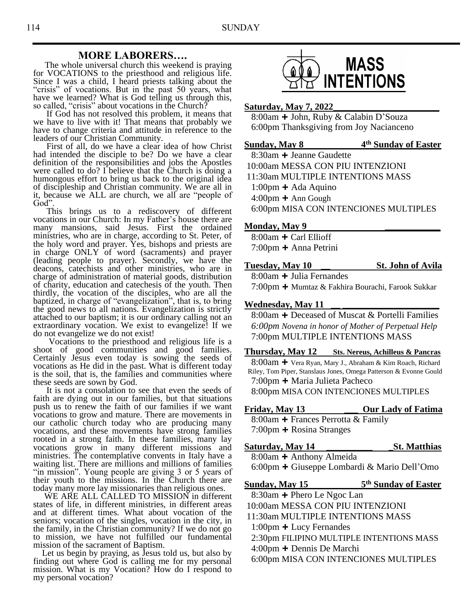### **MORE LABORERS….**

 The whole universal church this weekend is praying for VOCATIONS to the priesthood and religious life. Since I was a child, I heard priests talking about the "crisis" of vocations. But in the past 50 years, what have we learned? What is God telling us through this, so called, "crisis" about vocations in the Church?

 If God has not resolved this problem, it means that we have to live with it! That means that probably we have to change criteria and attitude in reference to the leaders of our Christian Community.

 First of all, do we have a clear idea of how Christ had intended the disciple to be? Do we have a clear definition of the responsibilities and jobs the Apostles were called to do? I believe that the Church is doing a humongous effort to bring us back to the original idea of discipleship and Christian community. We are all in it, because we ALL are church, we all are "people of God".

 This brings us to a rediscovery of different vocations in our Church: In my Father's house there are many mansions, said Jesus. First the ordained ministries, who are in charge, according to St. Peter, of the holy word and prayer. Yes, bishops and priests are in charge ONLY of word (sacraments) and prayer (leading people to prayer). Secondly, we have the deacons, catechists and other ministries, who are in charge of administration of material goods, distribution of charity, education and catechesis of the youth. Then thirdly, the vocation of the disciples, who are all the baptized, in charge of "evangelization", that is, to bring the good news to all nations. Evangelization is strictly attached to our baptism; it is our ordinary calling not an extraordinary vocation. We exist to evangelize! If we do not evangelize we do not exist!

 Vocations to the priesthood and religious life is a shoot of good communities and good families. Certainly Jesus even today is sowing the seeds of vocations as He did in the past. What is different today is the soil, that is, the families and communities where these seeds are sown by God.

 It is not a consolation to see that even the seeds of faith are dying out in our families, but that situations push us to renew the faith of our families if we want vocations to grow and mature. There are movements in our catholic church today who are producing many vocations, and these movements have strong families rooted in a strong faith. In these families, many lay vocations grow in many different missions and ministries. The contemplative convents in Italy have a waiting list. There are millions and millions of families "in mission". Young people are giving 3 or 5 years of their youth to the missions. In the Church there are today many more lay missionaries than religious ones.

 WE ARE ALL CALLED TO MISSION in different states of life, in different ministries, in different areas and at different times. What about vocation of the seniors; vocation of the singles, vocation in the city, in the family, in the Christian community? If we do not go to mission, we have not fulfilled our fundamental mission of the sacrament of Baptism.

 Let us begin by praying, as Jesus told us, but also by finding out where God is calling me for my personal mission. What is my Vocation? How do I respond to my personal vocation?



#### **Saturday, May 7, 2022\_\_\_\_\_\_\_\_\_\_\_\_\_\_\_\_\_\_\_\_\_\_\_**

8:00am **+** John, Ruby & Calabin D'Souza 6:00pm Thanksgiving from Joy Nacianceno

**th Sunday of Easter**

8:30am **+** Jeanne Gaudette 10:00am MESSA CON PIU INTENZIONI 11:30am MULTIPLE INTENTIONS MASS 1:00pm **+** Ada Aquino 4:00pm **+** Ann Gough 6:00pm MISA CON INTENCIONES MULTIPLES

#### **Monday, May 9 \_\_\_\_\_\_\_\_\_\_\_\_**

**Sunday, May 8 4**

8:00am **+** Carl Ellioff 7:00pm **+** Anna Petrini

#### **Tuesday, May 10 \_\_ St. John of Avila**

8:00am **+** Julia Fernandes 7:00pm **+** Mumtaz & Fakhira Bourachi, Farook Sukkar

#### **Wednesday, May 11 \_\_ \_\_\_\_\_\_\_\_\_\_\_\_\_\_\_\_\_\_\_\_\_**

8:00am **+** Deceased of Muscat & Portelli Families *6:00pm Novena in honor of Mother of Perpetual Help* 7:00pm MULTIPLE INTENTIONS MASS

**Thursday, May 12 Sts. Nereus, Achilleus & Pancras**

 8:00am **+** Vera Ryan, Mary J., Abraham & Kim Roach, Richard Riley, Tom Piper, Stanslaus Jones, Omega Patterson & Evonne Gould 7:00pm **+** Maria Julieta Pacheco

8:00pm MISA CON INTENCIONES MULTIPLES

### **Friday, May 13 \_\_\_ Our Lady of Fatima**

8:00am **+** Frances Perrotta & Family 7:00pm **+** Rosina Stranges

**Saturday, May 14 \_\_\_\_\_\_\_\_\_\_ \_St. Matthias**

8:00am **+** Anthony Almeida

6:00pm **+** Giuseppe Lombardi & Mario Dell'Omo

**Sunday, May 15** 

**th Sunday of Easter**

- 8:30am **+** Phero Le Ngoc Lan
- 10:00am MESSA CON PIU INTENZIONI
- 11:30am MULTIPLE INTENTIONS MASS
- 1:00pm **+** Lucy Fernandes
- 2:30pm FILIPINO MULTIPLE INTENTIONS MASS
- 4:00pm **+** Dennis De Marchi
- 6:00pm MISA CON INTENCIONES MULTIPLES